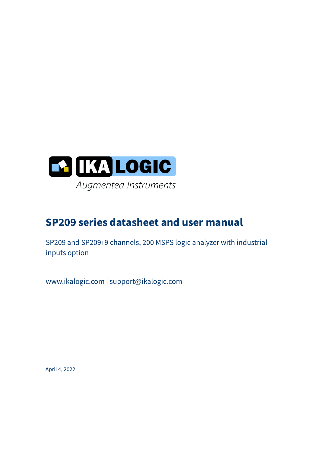

# **SP209 series datasheet and user manual**

SP209 and SP209i 9 channels, 200 MSPS logic analyzer with industrial inputs option

www.ikalogic.com | support@ikalogic.com

April 4, 2022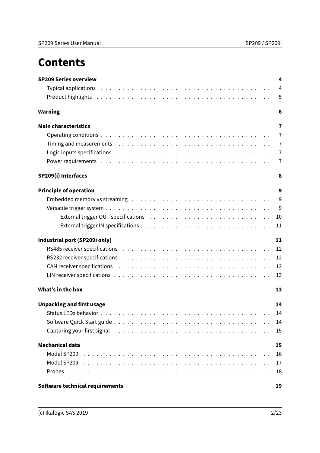# **Contents**

| <b>SP209 Series overview</b>                                                                                                                                                                                                   | 4              |
|--------------------------------------------------------------------------------------------------------------------------------------------------------------------------------------------------------------------------------|----------------|
|                                                                                                                                                                                                                                | $\overline{4}$ |
| Product highlights in the contract of the contract of the contract of the contract of the contract of the contract of the contract of the contract of the contract of the contract of the contract of the contract of the cont | 5              |
| <b>Warning</b>                                                                                                                                                                                                                 | 6              |
| <b>Main characteristics</b>                                                                                                                                                                                                    | $\overline{7}$ |
|                                                                                                                                                                                                                                | $\overline{7}$ |
|                                                                                                                                                                                                                                | $\overline{7}$ |
|                                                                                                                                                                                                                                | $\overline{7}$ |
|                                                                                                                                                                                                                                | $\overline{7}$ |
| SP209(i) Interfaces                                                                                                                                                                                                            | 8              |
| <b>Principle of operation</b>                                                                                                                                                                                                  | 9              |
|                                                                                                                                                                                                                                | 9              |
|                                                                                                                                                                                                                                |                |
|                                                                                                                                                                                                                                | 10             |
|                                                                                                                                                                                                                                | 11             |
| Industrial port (SP209i only)                                                                                                                                                                                                  | 11             |
|                                                                                                                                                                                                                                | 12             |
|                                                                                                                                                                                                                                | 12             |
|                                                                                                                                                                                                                                | 12             |
|                                                                                                                                                                                                                                | 13             |
| What's in the box                                                                                                                                                                                                              | 13             |
| <b>Unpacking and first usage</b>                                                                                                                                                                                               | 14             |
|                                                                                                                                                                                                                                | 14             |
|                                                                                                                                                                                                                                | 14             |
|                                                                                                                                                                                                                                | 15             |
| Mechanical data                                                                                                                                                                                                                | 15             |
|                                                                                                                                                                                                                                | 16             |
|                                                                                                                                                                                                                                | 17             |
|                                                                                                                                                                                                                                | 18             |
| Software technical requirements                                                                                                                                                                                                | 19             |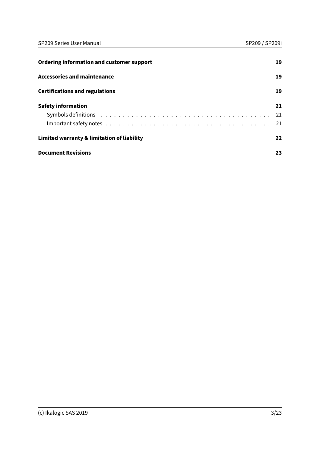| Ordering information and customer support  | 19 |
|--------------------------------------------|----|
| <b>Accessories and maintenance</b>         | 19 |
| <b>Certifications and regulations</b>      | 19 |
| <b>Safety information</b>                  | 21 |
|                                            | 21 |
|                                            | 21 |
| Limited warranty & limitation of liability | 22 |
| <b>Document Revisions</b>                  | 23 |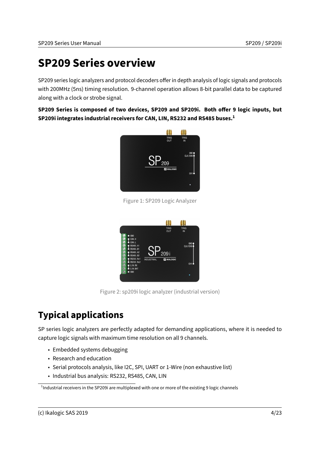# <span id="page-3-0"></span>**SP209 Series overview**

SP209 series logic analyzers and protocol decoders offer in depth analysis of logic signals and protocols with 200MHz (5ns) timing resolution. 9-channel operation allows 8-bit parallel data to be captured along with a clock or strobe signal.

SP209 Series is composed of two devices, SP209 and SP209i. Both offer 9 logic inputs, but **SP209i integrates industrial receivers for CAN, LIN, RS232 and RS485 buses.[1](#page-3-2)**



Figure 1: SP209 Logic Analyzer



Figure 2: sp209i logic analyzer (industrial version)

### <span id="page-3-1"></span>**Typical applications**

SP series logic analyzers are perfectly adapted for demanding applications, where it is needed to capture logic signals with maximum time resolution on all 9 channels.

- Embedded systems debugging
- Research and education
- Serial protocols analysis, like I2C, SPI, UART or 1-Wire (non exhaustive list)
- Industrial bus analysis: RS232, RS485, CAN, LIN

<span id="page-3-2"></span> $^{\text{1}}$ Industrial receivers in the SP209i are multiplexed with one or more of the existing 9 logic channels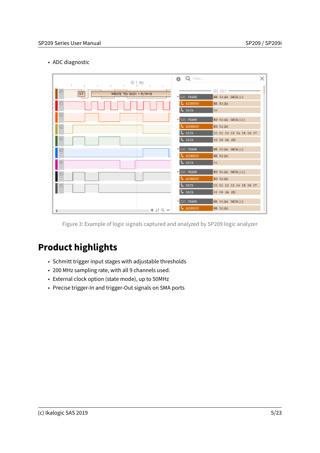#### • ADC diagnostic

| $-0.1$ m:<br>$\mathbb{L}$ and $\mathbb{L}$<br>$\mathbb{I}$<br>$\mathbb{R}$<br>$\mathbf{L}$<br>$\mathbb{R}$ | <b>B</b> Q Filter                                            | × |
|------------------------------------------------------------------------------------------------------------|--------------------------------------------------------------|---|
| ${\sf ST}$<br>WRITE TO: 0x51 + R/W=0                                                                       | 12C Ch1<br>I2C FRAME<br>WR 51(A) DATA[1]                     |   |
|                                                                                                            | L ADDRESS<br>WR 51(A)<br>t, bata<br>OB-                      |   |
| m                                                                                                          | <b>IZC FRAME</b><br>RD 51(A) DATA[11]                        |   |
| н                                                                                                          | L ADDRESS<br>$RD$ 51(A)<br>L DATA<br>00 01 02 03 04 05 06 07 |   |
|                                                                                                            | L DATA<br>08 09 0A (N)                                       |   |
| ⊟                                                                                                          | I2C FRAME<br>WR 51(A) DATA[1]<br>L ADDRESS<br>WR 51(A)       |   |
| E                                                                                                          | t. brta<br>01                                                |   |
| ⊟                                                                                                          | IZC FRAME<br>RD 51(A) DATA[11]<br>L ADDRESS<br>$RD$ 51(A)    |   |
|                                                                                                            | L DATA<br>00 01 02 03 04 05 06 07<br>08 09 0A (N)<br>L DATA  |   |
|                                                                                                            | <b>FIZC FRAME</b><br>WR 51(A) DATA[1]                        |   |
| $+ 17Q -$                                                                                                  | L ADDRESS<br>WR $51(A)$                                      |   |

Figure 3: Example of logic signals captured and analyzed by SP209 logic analyzer

# <span id="page-4-0"></span>**Product highlights**

- Schmitt trigger input stages with adjustable thresholds
- 200 MHz sampling rate, with all 9 channels used.
- External clock option (state mode), up to 50MHz
- Precise trigger-In and trigger-Out signals on SMA ports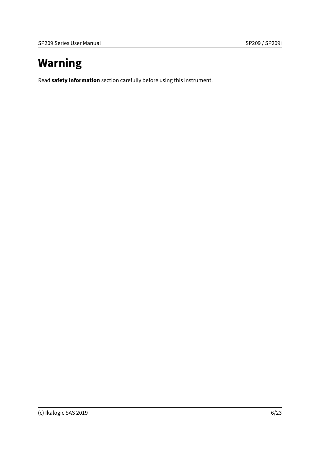# <span id="page-5-0"></span>**Warning**

Read **[safety information](#page-20-0)** section carefully before using this instrument.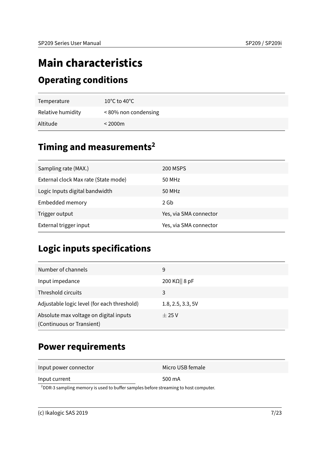# <span id="page-6-0"></span>**Main characteristics**

#### <span id="page-6-1"></span>**Operating conditions**

| Temperature       | $10^{\circ}$ C to 40 $^{\circ}$ C |
|-------------------|-----------------------------------|
| Relative humidity | <80% non condensing               |
| Altitude          | $<$ 2000 $m$                      |

### <span id="page-6-2"></span>**Timing and measurements[2](#page-6-5)**

| Sampling rate (MAX.)                 | 200 MSPS               |
|--------------------------------------|------------------------|
| External clock Max rate (State mode) | 50 MHz                 |
| Logic Inputs digital bandwidth       | 50 MHz                 |
| Embedded memory                      | 2 Gb                   |
| Trigger output                       | Yes, via SMA connector |
| External trigger input               | Yes, via SMA connector |

# <span id="page-6-3"></span>**Logic inputs specifications**

| Number of channels                                                  | 9                      |
|---------------------------------------------------------------------|------------------------|
| Input impedance                                                     | 200 K $\Omega$    8 pF |
| Threshold circuits                                                  | 3                      |
| Adjustable logic level (for each threshold)                         | 1.8, 2.5, 3.3, 5V      |
| Absolute max voltage on digital inputs<br>(Continuous or Transient) | $\pm 25$ V             |

### <span id="page-6-4"></span>**Power requirements**

Input power connector Micro USB female

| Input current |  |
|---------------|--|
|---------------|--|

500 mA

<span id="page-6-5"></span> $2$ DDR-3 sampling memory is used to buffer samples before streaming to host computer.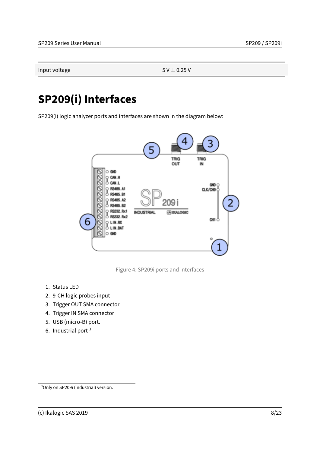Input voltage  $5$  V  $\pm$  0.25 V

# <span id="page-7-0"></span>**SP209(i) Interfaces**

SP209(i) logic analyzer ports and interfaces are shown in the diagram below:



Figure 4: SP209i ports and interfaces

- 1. Status LED
- 2. 9-CH logic probes input
- 3. Trigger OUT SMA connector
- 4. Trigger IN SMA connector
- 5. USB (micro-B) port.
- 6. Industrial port [3](#page-7-1)

<span id="page-7-1"></span><sup>3</sup>Only on SP209i (industrial) version.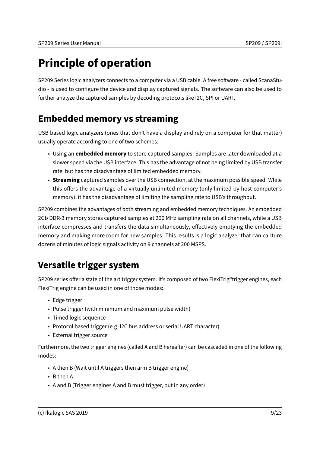# <span id="page-8-0"></span>**Principle of operation**

SP209 Series logic analyzers connects to a computer via a USB cable. A free software - called ScanaStudio - is used to configure the device and display captured signals. The software can also be used to further analyze the captured samples by decoding protocols like I2C, SPI or UART.

### <span id="page-8-1"></span>**Embedded memory vs streaming**

USB based logic analyzers (ones that don't have a display and rely on a computer for that matter) usually operate according to one of two schemes:

- Using an **embedded memory** to store captured samples. Samples are later downloaded at a slower speed via the USB interface. This has the advantage of not being limited by USB transfer rate, but has the disadvantage of limited embedded memory.
- **Streaming** captured samples over the USB connection, at the maximum possible speed. While this offers the advantage of a virtually unlimited memory (only limited by host computer's memory), it has the disadvantage of limiting the sampling rate to USB's throughput.

SP209 combines the advantages of both streaming and embedded memory techniques. An embedded 2Gb DDR-3 memory stores captured samples at 200 MHz sampling rate on all channels, while a USB interface compresses and transfers the data simultaneously, effectively emptying the embedded memory and making more room for new samples. This results is a logic analyzer that can capture dozens of minutes of logic signals activity on 9 channels at 200 MSPS.

### <span id="page-8-2"></span>**Versatile trigger system**

SP209 series offer a state of the art trigger system. It's composed of two FlexiTrig®trigger engines, each FlexiTrig engine can be used in one of those modes:

- Edge trigger
- Pulse trigger (with minimum and maximum pulse width)
- Timed logic sequence
- Protocol based trigger (e.g. I2C bus address or serial UART character)
- External trigger source

Furthermore, the two trigger engines (called A and B hereafter) can be cascaded in one of the following modes:

- A then B (Wait until A triggers then arm B trigger engine)
- B then A
- A and B (Trigger engines A and B must trigger, but in any order)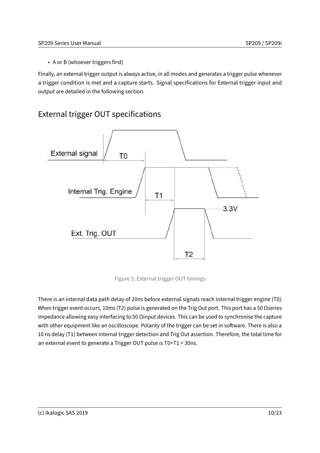• A or B (whoever triggers first)

Finally, an external trigger output is always active, in all modes and generates a trigger pulse whenever a trigger condition is met and a capture starts. Signal specifications for External trigger input and output are detailed in the following section.

#### <span id="page-9-0"></span>External trigger OUT specifications



Figure 5: External trigger OUT timings

There is an internal data path delay of 20ns before external signals reach internal trigger engine (T0). When trigger event occurs, 10ms (T2) pulse is generated on the Trig Out port. This port has a 50 Ωseries impedance allowing easy interfacing to 50  $\Omega$ input devices. This can be used to synchronise the capture with other equipment like an oscilloscope. Polarity of the trigger can be set in software. There is also a 10 ns delay (T1) between internal trigger detection and Trig Out assertion. Therefore, the total time for an external event to generate a Trigger OUT pulse is T0+T1 = 30ns.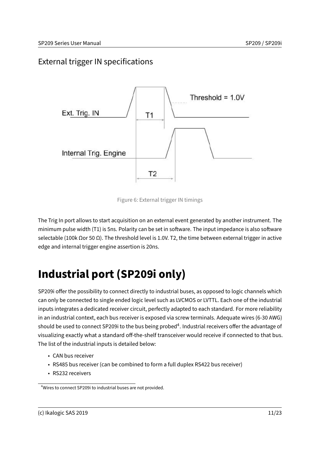#### <span id="page-10-0"></span>External trigger IN specifications



Figure 6: External trigger IN timings

The Trig In port allows to start acquisition on an external event generated by another instrument. The minimum pulse width (T1) is 5ns. Polarity can be set in software. The input impedance is also software selectable (100k Ωor 50 Ω). The threshold level is 1.0V. T2, the time between external trigger in active edge and internal trigger engine assertion is 20ns.

# <span id="page-10-1"></span>**Industrial port (SP209i only)**

SP209i offer the possibility to connect directly to industrial buses, as opposed to logic channels which can only be connected to single ended logic level such as LVCMOS or LVTTL. Each one of the industrial inputs integrates a dedicated receiver circuit, perfectly adapted to each standard. For more reliability in an industrial context, each bus receiver is exposed via screw terminals. Adequate wires (6-30 AWG) should be used to connect SP209i to the bus being probed<sup>[4](#page-10-2)</sup>. Industrial receivers offer the advantage of visualizing exactly what a standard off-the-shelf transceiver would receive if connected to that bus. The list of the industrial inputs is detailed below:

- CAN bus receiver
- RS485 bus receiver (can be combined to form a full duplex RS422 bus receiver)
- RS232 receivers

<span id="page-10-2"></span><sup>4</sup>Wires to connect SP209i to industrial buses are not provided.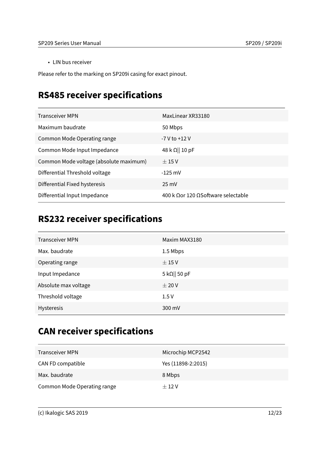• LIN bus receiver

Please refer to the marking on SP209i casing for exact pinout.

### <span id="page-11-0"></span>**RS485 receiver specifications**

| <b>Transceiver MPN</b>                 | MaxLinear XR33180                         |
|----------------------------------------|-------------------------------------------|
| Maximum baudrate                       | 50 Mbps                                   |
| Common Mode Operating range            | -7 V to +12 V                             |
| Common Mode Input Impedance            | $48 \mathrm{k} \Omega    10 \mathrm{p}$ F |
| Common Mode voltage (absolute maximum) | $\pm 15$ V                                |
| Differential Threshold voltage         | $-125$ mV                                 |
| Differential Fixed hysteresis          | $25 \text{ mV}$                           |
| Differential Input Impedance           | 400 k Oor 120 OSoftware selectable        |

### <span id="page-11-1"></span>**RS232 receiver specifications**

| <b>Transceiver MPN</b> | Maxim MAX3180         |
|------------------------|-----------------------|
| Max. baudrate          | 1.5 Mbps              |
| Operating range        | $\pm 15$ V            |
| Input Impedance        | 5 k $\Omega$    50 pF |
| Absolute max voltage   | ± 20V                 |
| Threshold voltage      | 1.5V                  |
| Hysteresis             | 300 mV                |
|                        |                       |

### <span id="page-11-2"></span>**CAN receiver specifications**

| <b>Transceiver MPN</b>      | Microchip MCP2542  |
|-----------------------------|--------------------|
| CAN FD compatible           | Yes (11898-2:2015) |
| Max. baudrate               | 8 Mbps             |
| Common Mode Operating range | $+12V$             |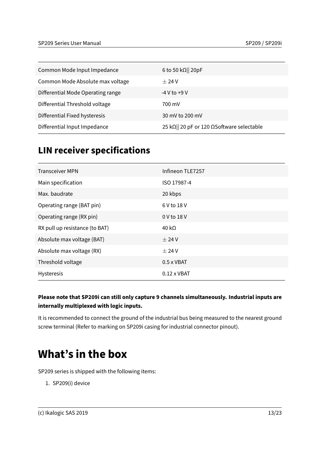| Common Mode Input Impedance       | 6 to 50 k $\Omega$   20pF                 |
|-----------------------------------|-------------------------------------------|
| Common Mode Absolute max voltage  | $+24V$                                    |
| Differential Mode Operating range | $-4$ V to $+9$ V                          |
| Differential Threshold voltage    | 700 mV                                    |
| Differential Fixed hysteresis     | 30 mV to 200 mV                           |
| Differential Input Impedance      | 25 kΩ   20 pF or 120 ΩSoftware selectable |

#### <span id="page-12-0"></span>**LIN receiver specifications**

| Infineon TLE7257   |
|--------------------|
| ISO 17987-4        |
| 20 kbps            |
| 6 V to 18 V        |
| 0 V to 18 V        |
| 40 k $\Omega$      |
| $\pm$ 24 V         |
| $±$ 24 V           |
| $0.5 \times VBAT$  |
| $0.12 \times VBAT$ |
|                    |

#### **Please note that SP209i can still only capture 9 channels simultaneously. Industrial inputs are internally multiplexed with logic inputs.**

It is recommended to connect the ground of the industrial bus being measured to the nearest ground screw terminal (Refer to marking on SP209i casing for industrial connector pinout).

# <span id="page-12-1"></span>**What's in the box**

SP209 series is shipped with the following items:

1. SP209(i) device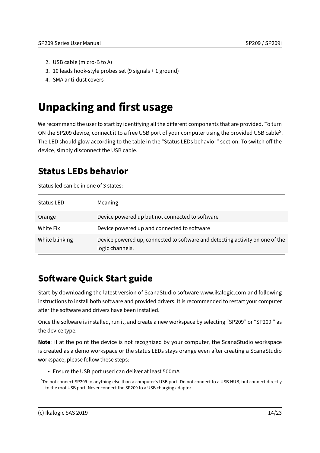- 2. USB cable (micro-B to A)
- 3. 10 leads hook-style probes set (9 signals + 1 ground)
- 4. SMA anti-dust covers

# <span id="page-13-0"></span>**Unpacking and first usage**

We recommend the user to start by identifying all the different components that are provided. To turn ON the SP209 device, connect it to a free USB port of your computer using the provided USB cable<sup>[5](#page-13-3)</sup>. The LED should glow according to the table in the "Status LEDs behavior" section. To switch off the device, simply disconnect the USB cable.

#### <span id="page-13-1"></span>**Status LEDs behavior**

Status led can be in one of 3 states:

| <b>Status LED</b> | Meaning                                                                                          |
|-------------------|--------------------------------------------------------------------------------------------------|
| Orange            | Device powered up but not connected to software                                                  |
| White Fix         | Device powered up and connected to software                                                      |
| White blinking    | Device powered up, connected to software and detecting activity on one of the<br>logic channels. |

#### <span id="page-13-2"></span>**Software Quick Start guide**

Start by downloading the latest version of ScanaStudio software www.ikalogic.com and following instructions to install both software and provided drivers. It is recommended to restart your computer after the software and drivers have been installed.

Once the software is installed, run it, and create a new workspace by selecting "SP209" or "SP209i" as the device type.

**Note**: if at the point the device is not recognized by your computer, the ScanaStudio workspace is created as a demo workspace or the status LEDs stays orange even after creating a ScanaStudio workspace, please follow these steps:

• Ensure the USB port used can deliver at least 500mA.

<span id="page-13-3"></span><sup>5</sup>Do not connect SP209 to anything else than a computer's USB port. Do not connect to a USB HUB, but connect directly to the root USB port. Never connect the SP209 to a USB charging adaptor.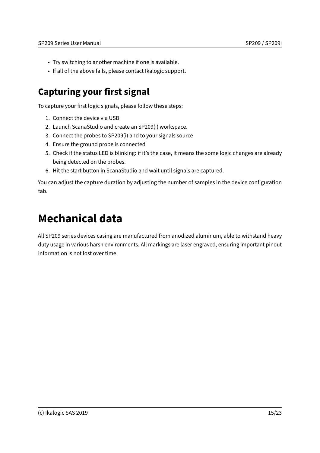- Try switching to another machine if one is available.
- If all of the above fails, please contact Ikalogic support.

### <span id="page-14-0"></span>**Capturing your first signal**

To capture your first logic signals, please follow these steps:

- 1. Connect the device via USB
- 2. Launch ScanaStudio and create an SP209(i) workspace.
- 3. Connect the probes to SP209(i) and to your signals source
- 4. Ensure the ground probe is connected
- 5. Check if the status LED is blinking: if it's the case, it means the some logic changes are already being detected on the probes.
- 6. Hit the start button in ScanaStudio and wait until signals are captured.

You can adjust the capture duration by adjusting the number of samples in the device configuration tab.

# <span id="page-14-1"></span>**Mechanical data**

All SP209 series devices casing are manufactured from anodized aluminum, able to withstand heavy duty usage in various harsh environments. All markings are laser engraved, ensuring important pinout information is not lost over time.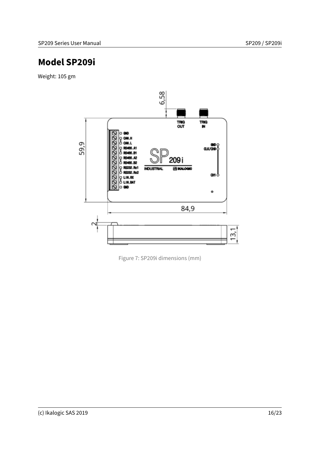#### <span id="page-15-0"></span>**Model SP209i**

Weight: 105 gm



Figure 7: SP209i dimensions (mm)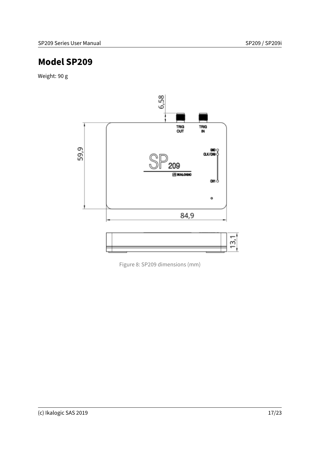#### <span id="page-16-0"></span>**Model SP209**

Weight: 90 g



Figure 8: SP209 dimensions (mm)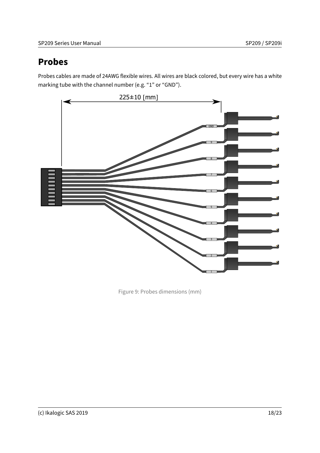#### <span id="page-17-0"></span>**Probes**

Probes cables are made of 24AWG flexible wires. All wires are black colored, but every wire has a white marking tube with the channel number (e.g. "1" or "GND").



Figure 9: Probes dimensions (mm)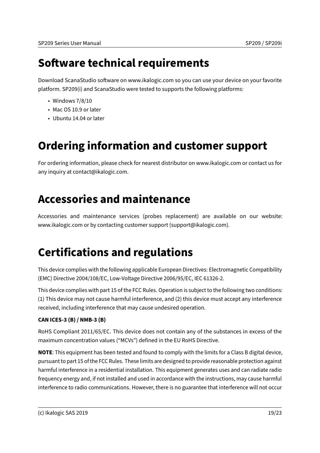# <span id="page-18-0"></span>**Software technical requirements**

Download ScanaStudio software on www.ikalogic.com so you can use your device on your favorite platform. SP209(i) and ScanaStudio were tested to supports the following platforms:

- Windows 7/8/10
- Mac OS 10.9 or later
- Ubuntu 14.04 or later

# <span id="page-18-1"></span>**Ordering information and customer support**

For ordering information, please check for nearest distributor on www.ikalogic.com or contact us for any inquiry at contact@ikalogic.com.

# <span id="page-18-2"></span>**Accessories and maintenance**

Accessories and maintenance services (probes replacement) are available on our website: www.ikalogic.com or by contacting customer support (support@ikalogic.com).

# <span id="page-18-3"></span>**Certifications and regulations**

This device complies with the following applicable European Directives: Electromagnetic Compatibility (EMC) Directive 2004/108/EC, Low-Voltage Directive 2006/95/EC, IEC 61326-2.

This device complies with part 15 of the FCC Rules. Operation is subject to the following two conditions: (1) This device may not cause harmful interference, and (2) this device must accept any interference received, including interference that may cause undesired operation.

#### **CAN ICES-3 (B) / NMB-3 (B)**

RoHS Compliant 2011/65/EC. This device does not contain any of the substances in excess of the maximum concentration values ("MCVs") defined in the EU RoHS Directive.

**NOTE**: This equipment has been tested and found to comply with the limits for a Class B digital device, pursuant to part 15 of the FCC Rules. These limits are designed to provide reasonable protection against harmful interference in a residential installation. This equipment generates uses and can radiate radio frequency energy and, if not installed and used in accordance with the instructions, may cause harmful interference to radio communications. However, there is no guarantee that interference will not occur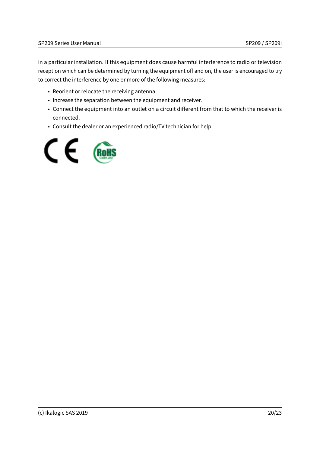in a particular installation. If this equipment does cause harmful interference to radio or television reception which can be determined by turning the equipment off and on, the user is encouraged to try to correct the interference by one or more of the following measures:

- Reorient or relocate the receiving antenna.
- Increase the separation between the equipment and receiver.
- Connect the equipment into an outlet on a circuit different from that to which the receiver is connected.
- Consult the dealer or an experienced radio/TV technician for help.

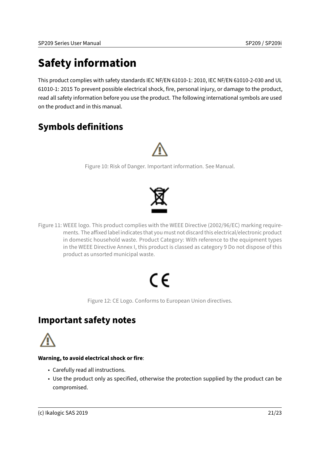# <span id="page-20-0"></span>**Safety information**

This product complies with safety standards IEC NF/EN 61010-1: 2010, IEC NF/EN 61010-2-030 and UL 61010-1: 2015 To prevent possible electrical shock, fire, personal injury, or damage to the product, read all safety information before you use the product. The following international symbols are used on the product and in this manual.

#### <span id="page-20-1"></span>**Symbols definitions**



Figure 10: Risk of Danger. Important information. See Manual.



Figure 11: WEEE logo. This product complies with the WEEE Directive (2002/96/EC) marking requirements. The affixed label indicates that you must not discard this electrical/electronic product in domestic household waste. Product Category: With reference to the equipment types in the WEEE Directive Annex I, this product is classed as category 9 Do not dispose of this product as unsorted municipal waste.

# ( F

Figure 12: CE Logo. Conforms to European Union directives.

#### <span id="page-20-2"></span>**Important safety notes**

#### **Warning, to avoid electrical shock or fire**:

- Carefully read all instructions.
- Use the product only as specified, otherwise the protection supplied by the product can be compromised.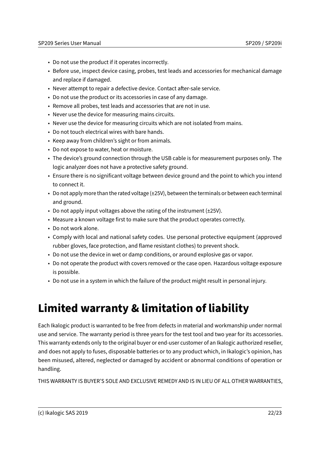- Do not use the product if it operates incorrectly.
- Before use, inspect device casing, probes, test leads and accessories for mechanical damage and replace if damaged.
- Never attempt to repair a defective device. Contact after-sale service.
- Do not use the product or its accessories in case of any damage.
- Remove all probes, test leads and accessories that are not in use.
- Never use the device for measuring mains circuits.
- Never use the device for measuring circuits which are not isolated from mains.
- Do not touch electrical wires with bare hands.
- Keep away from children's sight or from animals.
- Do not expose to water, heat or moisture.
- The device's ground connection through the USB cable is for measurement purposes only. The logic analyzer does not have a protective safety ground.
- Ensure there is no significant voltage between device ground and the point to which you intend to connect it.
- Do not apply more than the rated voltage (±25V), between the terminals or between each terminal and ground.
- Do not apply input voltages above the rating of the instrument (±25V).
- Measure a known voltage first to make sure that the product operates correctly.
- Do not work alone.
- Comply with local and national safety codes. Use personal protective equipment (approved rubber gloves, face protection, and flame resistant clothes) to prevent shock.
- Do not use the device in wet or damp conditions, or around explosive gas or vapor.
- Do not operate the product with covers removed or the case open. Hazardous voltage exposure is possible.
- Do not use in a system in which the failure of the product might result in personal injury.

# <span id="page-21-0"></span>**Limited warranty & limitation of liability**

Each Ikalogic product is warranted to be free from defects in material and workmanship under normal use and service. The warranty period is three years for the test tool and two year for its accessories. This warranty extends only to the original buyer or end-user customer of an Ikalogic authorized reseller, and does not apply to fuses, disposable batteries or to any product which, in Ikalogic's opinion, has been misused, altered, neglected or damaged by accident or abnormal conditions of operation or handling.

THIS WARRANTY IS BUYER'S SOLE AND EXCLUSIVE REMEDY AND IS IN LIEU OF ALL OTHER WARRANTIES,